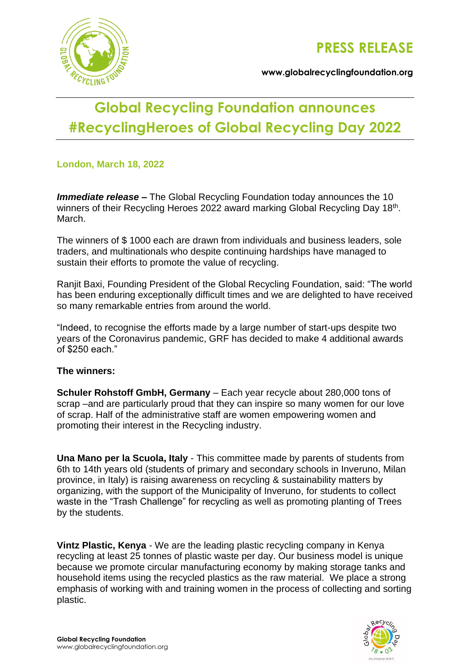

**[www.globalrecyclingfoundation.org](http://www.globalrecyclingfoundation.org/)**

# **Global Recycling Foundation announces #RecyclingHeroes of Global Recycling Day 2022**

# **London, March 18, 2022**

*Immediate release –* The Global Recycling Foundation today announces the 10 winners of their Recycling Heroes 2022 award marking Global Recycling Day 18<sup>th</sup>. March.

The winners of \$ 1000 each are drawn from individuals and business leaders, sole traders, and multinationals who despite continuing hardships have managed to sustain their efforts to promote the value of recycling.

Ranjit Baxi, Founding President of the Global Recycling Foundation, said: "The world has been enduring exceptionally difficult times and we are delighted to have received so many remarkable entries from around the world.

"Indeed, to recognise the efforts made by a large number of start-ups despite two years of the Coronavirus pandemic, GRF has decided to make 4 additional awards of \$250 each."

## **The winners:**

**Schuler Rohstoff GmbH, Germany** – Each year recycle about 280,000 tons of scrap –and are particularly proud that they can inspire so many women for our love of scrap. Half of the administrative staff are women empowering women and promoting their interest in the Recycling industry.

**Una Mano per la Scuola, Italy** - This committee made by parents of students from 6th to 14th years old (students of primary and secondary schools in Inveruno, Milan province, in Italy) is raising awareness on recycling & sustainability matters by organizing, with the support of the Municipality of Inveruno, for students to collect waste in the "Trash Challenge" for recycling as well as promoting planting of Trees by the students.

**Vintz Plastic, Kenya** - We are the leading plastic recycling company in Kenya recycling at least 25 tonnes of plastic waste per day. Our business model is unique because we promote circular manufacturing economy by making storage tanks and household items using the recycled plastics as the raw material. We place a strong emphasis of working with and training women in the process of collecting and sorting plastic.

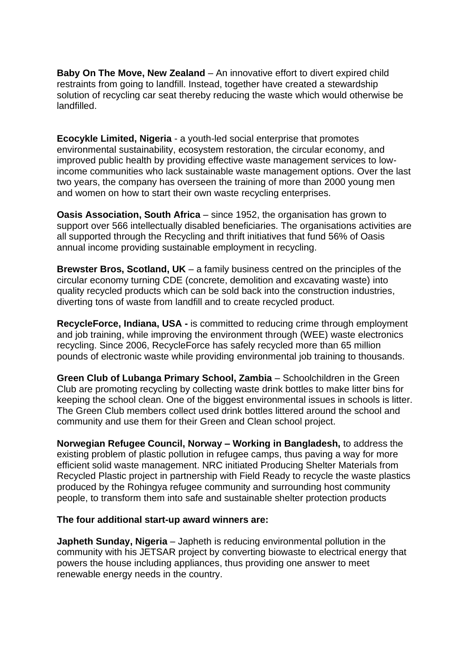**Baby On The Move, New Zealand** – An innovative effort to divert expired child restraints from going to landfill. Instead, together have created a stewardship solution of recycling car seat thereby reducing the waste which would otherwise be landfilled.

**Ecocykle Limited, Nigeria** - a youth-led social enterprise that promotes environmental sustainability, ecosystem restoration, the circular economy, and improved public health by providing effective waste management services to lowincome communities who lack sustainable waste management options. Over the last two years, the company has overseen the training of more than 2000 young men and women on how to start their own waste recycling enterprises.

**Oasis Association, South Africa** – since 1952, the organisation has grown to support over 566 intellectually disabled beneficiaries. The organisations activities are all supported through the Recycling and thrift initiatives that fund 56% of Oasis annual income providing sustainable employment in recycling.

**Brewster Bros, Scotland, UK** – a [family business](https://www.brewsterbros.com/about-us/our-history/) centred on the principles of the circular economy turning CDE (concrete, demolition and excavating waste) into quality recycled products which can be sold back into the construction industries, diverting tons of waste from landfill and to create recycled product.

**RecycleForce, Indiana, USA -** is committed to reducing crime through employment and job training, while improving the environment through (WEE) waste electronics recycling. Since 2006, RecycleForce has safely recycled more than 65 million pounds of electronic waste while providing environmental job training to thousands.

**Green Club of Lubanga Primary School, Zambia** – Schoolchildren in the Green Club are promoting recycling by collecting waste drink bottles to make litter bins for keeping the school clean. One of the biggest environmental issues in schools is litter. The Green Club members collect used drink bottles littered around the school and community and use them for their Green and Clean school project.

**Norwegian Refugee Council, Norway – Working in Bangladesh,** to address the existing problem of plastic pollution in refugee camps, thus paving a way for more efficient solid waste management. NRC initiated Producing Shelter Materials from Recycled Plastic project in partnership with Field Ready to recycle the waste plastics produced by the Rohingya refugee community and surrounding host community people, to transform them into safe and sustainable shelter protection products

#### **The four additional start-up award winners are:**

**Japheth Sunday, Nigeria** – Japheth is reducing environmental pollution in the community with his JETSAR project by converting biowaste to electrical energy that powers the house including appliances, thus providing one answer to meet renewable energy needs in the country.